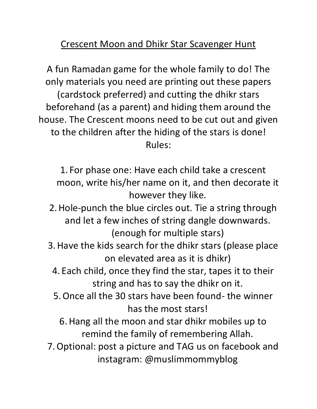## Crescent Moon and Dhikr Star Scavenger Hunt

A fun Ramadan game for the whole family to do! The only materials you need are printing out these papers (cardstock preferred) and cutting the dhikr stars beforehand (as a parent) and hiding them around the house. The Crescent moons need to be cut out and given to the children after the hiding of the stars is done! Rules:

1. For phase one: Have each child take a crescent moon, write his/her name on it, and then decorate it however they like.

- 2.Hole-punch the blue circles out. Tie a string through and let a few inches of string dangle downwards. (enough for multiple stars)
- 3.Have the kids search for the dhikr stars (please place on elevated area as it is dhikr)
	- 4. Each child, once they find the star, tapes it to their string and has to say the dhikr on it.
	- 5.Once all the 30 stars have been found- the winner has the most stars!
		- 6.Hang all the moon and star dhikr mobiles up to remind the family of remembering Allah.
- 7.Optional: post a picture and TAG us on facebook and instagram: @muslimmommyblog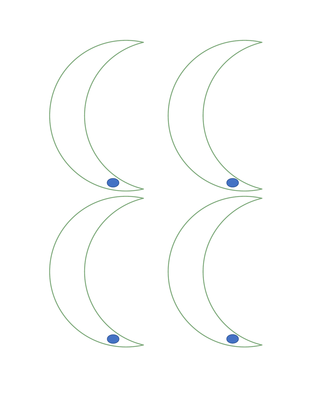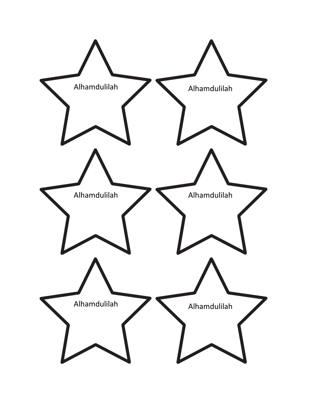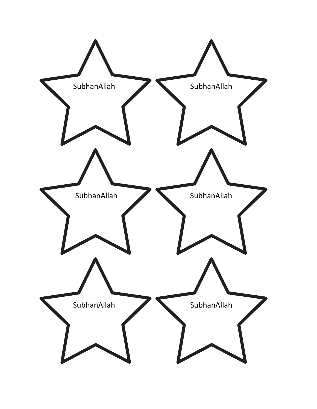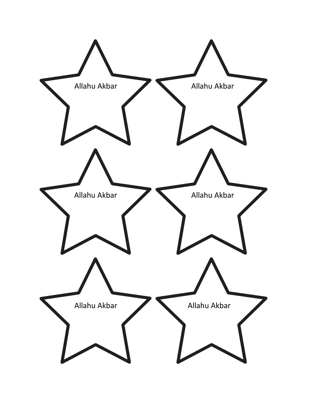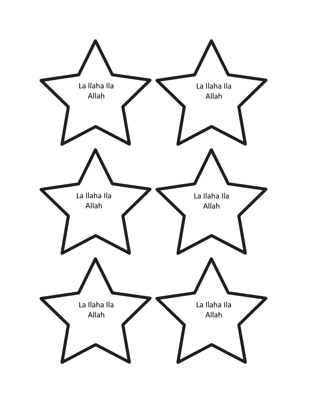